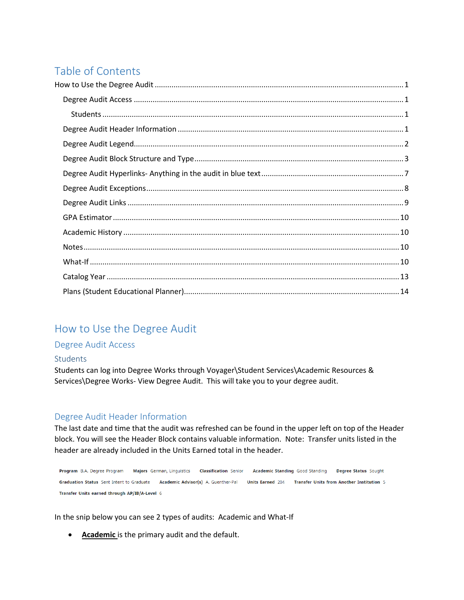# Table of Contents

## <span id="page-0-0"></span>How to Use the Degree Audit

## <span id="page-0-1"></span>Degree Audit Access

## <span id="page-0-2"></span>**Students**

Students can log into Degree Works through Voyager\Student Services\Academic Resources & Services\Degree Works- View Degree Audit. This will take you to your degree audit.

## <span id="page-0-3"></span>Degree Audit Header Information

The last date and time that the audit was refreshed can be found in the upper left on top of the Header block. You will see the Header Block contains valuable information. Note: Transfer units listed in the header are already included in the Units Earned total in the header.

Program B.A. Degree Program Majors German, Linguistics Classification Senior Academic Standing Good Standing Degree Status Sought Graduation Status Sent Intent to Graduate Academic Advisor(s) A. Guenther-Pal Units Earned 204 Transfer Units from Another Institution 5 Transfer Units earned through AP/IB/A-Level 6

In the snip below you can see 2 types of audits: Academic and What-If

• **Academic** is the primary audit and the default.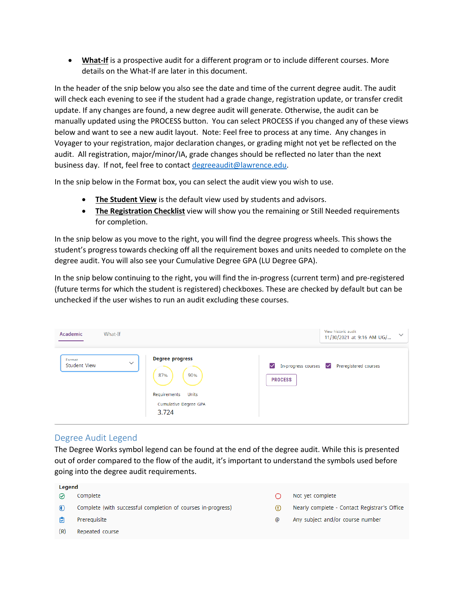• **What-If** is a prospective audit for a different program or to include different courses. More details on the What-If are later in this document.

In the header of the snip below you also see the date and time of the current degree audit. The audit will check each evening to see if the student had a grade change, registration update, or transfer credit update. If any changes are found, a new degree audit will generate. Otherwise, the audit can be manually updated using the PROCESS button. You can select PROCESS if you changed any of these views below and want to see a new audit layout. Note: Feel free to process at any time. Any changes in Voyager to your registration, major declaration changes, or grading might not yet be reflected on the audit. All registration, major/minor/IA, grade changes should be reflected no later than the next business day. If not, feel free to contac[t degreeaudit@lawrence.edu.](mailto:degreeaudit@lawrence.edu)

In the snip below in the Format box, you can select the audit view you wish to use.

- **The Student View** is the default view used by students and advisors.
- **The Registration Checklist** view will show you the remaining or Still Needed requirements for completion.

In the snip below as you move to the right, you will find the degree progress wheels. This shows the student's progress towards checking off all the requirement boxes and units needed to complete on the degree audit. You will also see your Cumulative Degree GPA (LU Degree GPA).

In the snip below continuing to the right, you will find the in-progress (current term) and pre-registered (future terms for which the student is registered) checkboxes. These are checked by default but can be unchecked if the user wishes to run an audit excluding these courses.

| Academic                      | What-If      |                                                                                                 | View historic audit<br>$\checkmark$<br>11/30/2021 at 9:16 AM UG/                         |
|-------------------------------|--------------|-------------------------------------------------------------------------------------------------|------------------------------------------------------------------------------------------|
| Format<br><b>Student View</b> | $\checkmark$ | <b>Degree progress</b><br>90%<br>87%<br>Requirements<br>Units<br>Cumulative Degree GPA<br>3.724 | In-progress courses v<br>Preregistered courses<br>$\blacktriangledown$<br><b>PROCESS</b> |

## <span id="page-1-0"></span>Degree Audit Legend

The Degree Works symbol legend can be found at the end of the degree audit. While this is presented out of order compared to the flow of the audit, it's important to understand the symbols used before going into the degree audit requirements.

| Legend  |                                                              |   |                                              |
|---------|--------------------------------------------------------------|---|----------------------------------------------|
| $\odot$ | Complete                                                     |   | Not yet complete                             |
|         | Complete (with successful completion of courses in-progress) | ⊕ | Nearly complete - Contact Registrar's Office |
|         | Prerequisite                                                 | @ | Any subject and/or course number             |
| (R)     | Repeated course                                              |   |                                              |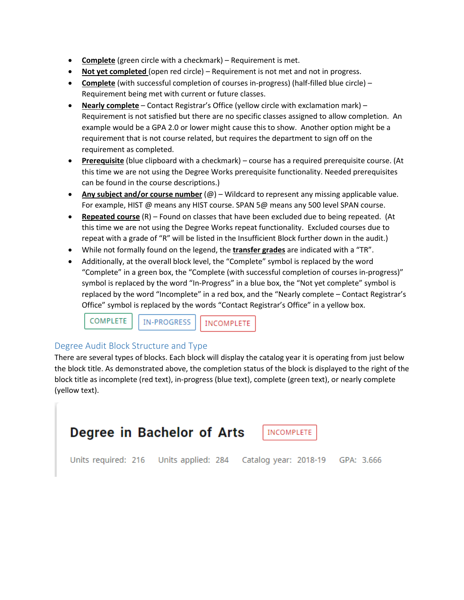- **Complete** (green circle with a checkmark) Requirement is met.
- **Not yet completed** (open red circle) Requirement is not met and not in progress.
- **Complete** (with successful completion of courses in-progress) (half-filled blue circle) Requirement being met with current or future classes.
- **Nearly complete** Contact Registrar's Office (yellow circle with exclamation mark) Requirement is not satisfied but there are no specific classes assigned to allow completion. An example would be a GPA 2.0 or lower might cause this to show. Another option might be a requirement that is not course related, but requires the department to sign off on the requirement as completed.
- **Prerequisite** (blue clipboard with a checkmark) course has a required prerequisite course. (At this time we are not using the Degree Works prerequisite functionality. Needed prerequisites can be found in the course descriptions.)
- **Any subject and/or course number** (@) Wildcard to represent any missing applicable value. For example, HIST @ means any HIST course. SPAN 5@ means any 500 level SPAN course.
- **Repeated course** (R) Found on classes that have been excluded due to being repeated. (At this time we are not using the Degree Works repeat functionality. Excluded courses due to repeat with a grade of "R" will be listed in the Insufficient Block further down in the audit.)
- While not formally found on the legend, the **transfer grades** are indicated with a "TR".
- Additionally, at the overall block level, the "Complete" symbol is replaced by the word "Complete" in a green box, the "Complete (with successful completion of courses in-progress)" symbol is replaced by the word "In-Progress" in a blue box, the "Not yet complete" symbol is replaced by the word "Incomplete" in a red box, and the "Nearly complete – Contact Registrar's Office" symbol is replaced by the words "Contact Registrar's Office" in a yellow box.

COMPLETE

IN-PROGRESS INCOMPLETE

## <span id="page-2-0"></span>Degree Audit Block Structure and Type

There are several types of blocks. Each block will display the catalog year it is operating from just below the block title. As demonstrated above, the completion status of the block is displayed to the right of the block title as incomplete (red text), in-progress (blue text), complete (green text), or nearly complete (yellow text).

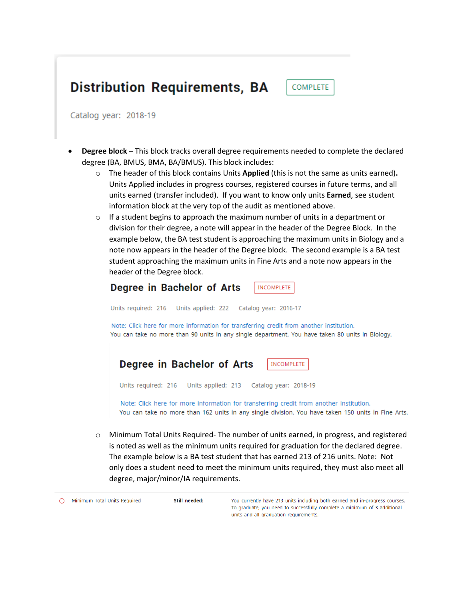# **Distribution Requirements, BA**

**COMPLETE** 

Catalog year: 2018-19

- **Degree block** This block tracks overall degree requirements needed to complete the declared degree (BA, BMUS, BMA, BA/BMUS). This block includes:
	- o The header of this block contains Units **Applied** (this is not the same as units earned)**.** Units Applied includes in progress courses, registered courses in future terms, and all units earned (transfer included). If you want to know only units **Earned**, see student information block at the very top of the audit as mentioned above.
	- $\circ$  If a student begins to approach the maximum number of units in a department or division for their degree, a note will appear in the header of the Degree Block. In the example below, the BA test student is approaching the maximum units in Biology and a note now appears in the header of the Degree block. The second example is a BA test student approaching the maximum units in Fine Arts and a note now appears in the header of the Degree block.



The example below is a BA test student that has earned 213 of 216 units. Note: Not only does a student need to meet the minimum units required, they must also meet all degree, major/minor/IA requirements.

O Minimum Total Units Required

Still needed:

You currently have 213 units including both earned and in-progress courses. To graduate, you need to successfully complete a minimum of 3 additional units and all graduation requirements.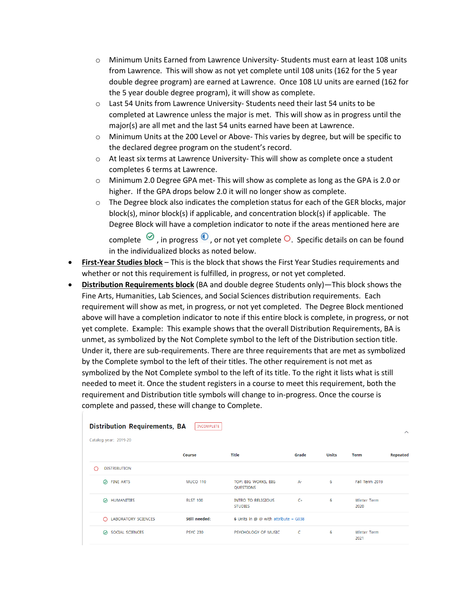- o Minimum Units Earned from Lawrence University- Students must earn at least 108 units from Lawrence. This will show as not yet complete until 108 units (162 for the 5 year double degree program) are earned at Lawrence. Once 108 LU units are earned (162 for the 5 year double degree program), it will show as complete.
- o Last 54 Units from Lawrence University- Students need their last 54 units to be completed at Lawrence unless the major is met. This will show as in progress until the major(s) are all met and the last 54 units earned have been at Lawrence.
- o Minimum Units at the 200 Level or Above- This varies by degree, but will be specific to the declared degree program on the student's record.
- o At least six terms at Lawrence University- This will show as complete once a student completes 6 terms at Lawrence.
- o Minimum 2.0 Degree GPA met- This will show as complete as long as the GPA is 2.0 or higher. If the GPA drops below 2.0 it will no longer show as complete.
- $\circ$  The Degree block also indicates the completion status for each of the GER blocks, major block(s), minor block(s) if applicable, and concentration block(s) if applicable. The Degree Block will have a completion indicator to note if the areas mentioned here are

complete  $\mathcal{O}$ , in progress  $\mathbf{O}$ , or not yet complete  $\mathbf{O}$ . Specific details on can be found in the individualized blocks as noted below.

- **First-Year Studies block** This is the block that shows the First Year Studies requirements and whether or not this requirement is fulfilled, in progress, or not yet completed.
- **Distribution Requirements block** (BA and double degree Students only)—This block shows the Fine Arts, Humanities, Lab Sciences, and Social Sciences distribution requirements. Each requirement will show as met, in progress, or not yet completed. The Degree Block mentioned above will have a completion indicator to note if this entire block is complete, in progress, or not yet complete. Example: This example shows that the overall Distribution Requirements, BA is unmet, as symbolized by the Not Complete symbol to the left of the Distribution section title. Under it, there are sub-requirements. There are three requirements that are met as symbolized by the Complete symbol to the left of their titles. The other requirement is not met as symbolized by the Not Complete symbol to the left of its title. To the right it lists what is still needed to meet it. Once the student registers in a course to meet this requirement, both the requirement and Distribution title symbols will change to in-progress. Once the course is complete and passed, these will change to Complete.

|   | <b>Distribution Requirements, BA</b><br>INCOMPLETE<br>$\wedge$ |                 |                                        |       |              |                     |                 |  |
|---|----------------------------------------------------------------|-----------------|----------------------------------------|-------|--------------|---------------------|-----------------|--|
|   | Catalog year: 2019-20                                          |                 |                                        |       |              |                     |                 |  |
|   |                                                                | Course          | <b>Title</b>                           | Grade | <b>Units</b> | <b>Term</b>         | <b>Repeated</b> |  |
| 0 | <b>DISTRIBUTION</b>                                            |                 |                                        |       |              |                     |                 |  |
|   | <b>FINE ARTS</b><br>∞                                          | <b>MUCO 110</b> | TOP: BIG WORKS, BIG<br>QUESTIONS       | $A-$  | 6            | Fall Term 2019      |                 |  |
|   | "<br><b>HUMANITIES</b>                                         | <b>RLST 100</b> | INTRO TO RELIGIOUS<br><b>STUDIES</b>   | $C+$  | 6            | Winter Term<br>2020 |                 |  |
|   | LABORATORY SCIENCES<br>∩                                       | Still needed:   | 6 Units in @ @ with attribute = $G038$ |       |              |                     |                 |  |
|   | SOCIAL SCIENCES<br>◎                                           | <b>PSYC 230</b> | PSYCHOLOGY OF MUSIC                    | C     | 6            | Winter Term<br>2021 |                 |  |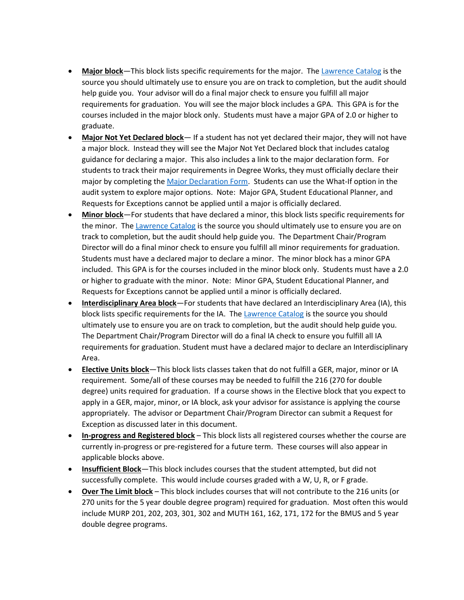- **Major block**—This block lists specific requirements for the major. The [Lawrence Catalog](https://www.lawrence.edu/academics/course_catalog) is the source you should ultimately use to ensure you are on track to completion, but the audit should help guide you. Your advisor will do a final major check to ensure you fulfill all major requirements for graduation. You will see the major block includes a GPA. This GPA is for the courses included in the major block only. Students must have a major GPA of 2.0 or higher to graduate.
- **Major Not Yet Declared block** If a student has not yet declared their major, they will not have a major block. Instead they will see the Major Not Yet Declared block that includes catalog guidance for declaring a major. This also includes a link to the major declaration form. For students to track their major requirements in Degree Works, they must officially declare their major by completing the [Major Declaration Form.](https://www.lawrence.edu/user/login?current=s/registrar/forms/declaration-of-major&b4r=1) Students can use the What-If option in the audit system to explore major options. Note: Major GPA, Student Educational Planner, and Requests for Exceptions cannot be applied until a major is officially declared.
- **Minor block**—For students that have declared a minor, this block lists specific requirements for the minor. The [Lawrence Catalog](https://www.lawrence.edu/academics/course_catalog) is the source you should ultimately use to ensure you are on track to completion, but the audit should help guide you. The Department Chair/Program Director will do a final minor check to ensure you fulfill all minor requirements for graduation. Students must have a declared major to declare a minor. The minor block has a minor GPA included. This GPA is for the courses included in the minor block only. Students must have a 2.0 or higher to graduate with the minor. Note: Minor GPA, Student Educational Planner, and Requests for Exceptions cannot be applied until a minor is officially declared.
- **Interdisciplinary Area block**—For students that have declared an Interdisciplinary Area (IA), this block lists specific requirements for the IA. The [Lawrence Catalog](https://www.lawrence.edu/academics/course_catalog) is the source you should ultimately use to ensure you are on track to completion, but the audit should help guide you. The Department Chair/Program Director will do a final IA check to ensure you fulfill all IA requirements for graduation. Student must have a declared major to declare an Interdisciplinary Area.
- **Elective Units block**—This block lists classes taken that do not fulfill a GER, major, minor or IA requirement. Some/all of these courses may be needed to fulfill the 216 (270 for double degree) units required for graduation. If a course shows in the Elective block that you expect to apply in a GER, major, minor, or IA block, ask your advisor for assistance is applying the course appropriately. The advisor or Department Chair/Program Director can submit a Request for Exception as discussed later in this document.
- **In-progress and Registered block** This block lists all registered courses whether the course are currently in-progress or pre-registered for a future term. These courses will also appear in applicable blocks above.
- **Insufficient Block**—This block includes courses that the student attempted, but did not successfully complete. This would include courses graded with a W, U, R, or F grade.
- **Over The Limit block** This block includes courses that will not contribute to the 216 units (or 270 units for the 5 year double degree program) required for graduation. Most often this would include MURP 201, 202, 203, 301, 302 and MUTH 161, 162, 171, 172 for the BMUS and 5 year double degree programs.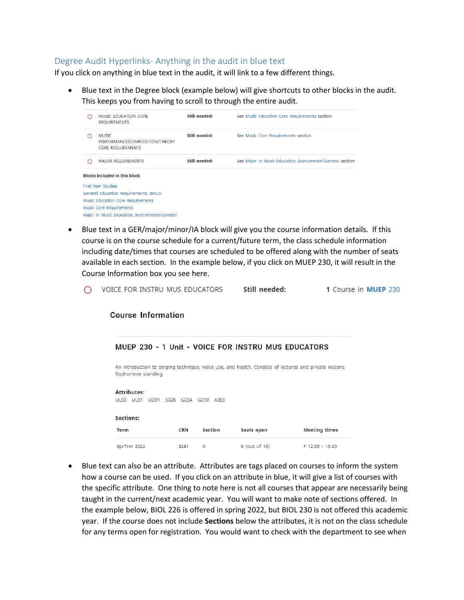## <span id="page-6-0"></span>Degree Audit Hyperlinks- Anything in the audit in blue text

If you click on anything in blue text in the audit, it will link to a few different things.

• Blue text in the Degree block (example below) will give shortcuts to other blocks in the audit. This keeps you from having to scroll to through the entire audit.

| <b>MUSIC EDUCATION CORE</b><br><b>REQUIREMENTS</b>                         | Still needed: | See Music Education Core Requirements section              |
|----------------------------------------------------------------------------|---------------|------------------------------------------------------------|
| <b>MUSIC</b><br>PERFORMANCE/COMPOSITION/THEORY<br><b>CORE REQUIREMENTS</b> | Still needed: | See Music Core Requirements section                        |
| <b>MAJOR REQUIREMENTS</b>                                                  | Still needed: | See Major in Music Education, Instrumental/General section |
| <b>Blocks included in this block</b>                                       |               |                                                            |
| <b>First Year Studies</b>                                                  |               |                                                            |
| General Education Requirements, BMUS                                       |               |                                                            |
| Music Education Core Requirements                                          |               |                                                            |
| Music Core Requirements                                                    |               |                                                            |
| Major in Music Education, Instrumental/General                             |               |                                                            |

• Blue text in a GER/major/minor/IA block will give you the course information details. If this course is on the course schedule for a current/future term, the class schedule information including date/times that courses are scheduled to be offered along with the number of seats available in each section. In the example below, if you click on MUEP 230, it will result in the Course Information box you see here.

| $\bigcirc$ voice for instru mus educators | Still needed: | 1 Course in MUEP 230 |
|-------------------------------------------|---------------|----------------------|
|-------------------------------------------|---------------|----------------------|

#### **Course Information**

| MUEP 230 - 1 Unit - VOICE FOR INSTRU MUS EDUCATORS |           |              |                 |                                                                                                        |  |  |  |
|----------------------------------------------------|-----------|--------------|-----------------|--------------------------------------------------------------------------------------------------------|--|--|--|
| Sophomore standing                                 |           |              |                 | An introduction to singing technique, voice use, and health. Consists of lectures and private lessons. |  |  |  |
| <b>Attributes:</b><br>11103<br>U101<br>UD01        | S026 G034 | G010<br>A003 |                 |                                                                                                        |  |  |  |
| Sections:                                          |           |              |                 |                                                                                                        |  |  |  |
| Term                                               | CRN       | Section      | Seats open      | Meeting times                                                                                          |  |  |  |
| SprTrm 2022                                        | 3281      | 0            | $0$ (out of 10) | F 12:30 - 13:40                                                                                        |  |  |  |

• Blue text can also be an attribute. Attributes are tags placed on courses to inform the system how a course can be used. If you click on an attribute in blue, it will give a list of courses with the specific attribute. One thing to note here is not all courses that appear are necessarily being taught in the current/next academic year. You will want to make note of sections offered. In the example below, BIOL 226 is offered in spring 2022, but BIOL 230 is not offered this academic year. If the course does not include **Sections** below the attributes, it is not on the class schedule for any terms open for registration. You would want to check with the department to see when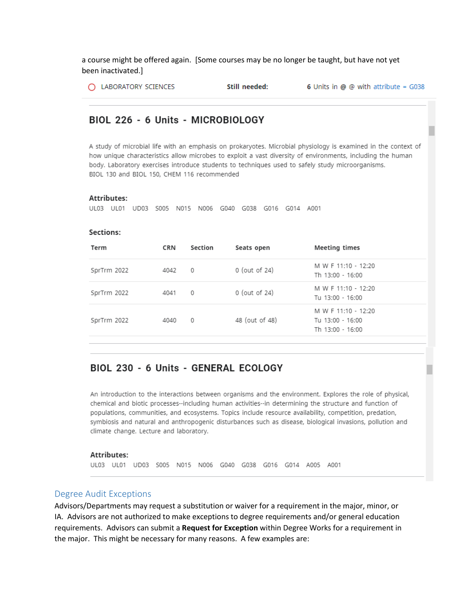a course might be offered again. [Some courses may be no longer be taught, but have not yet been inactivated.]

◯ LABORATORY SCIENCES Still needed: 6 Units in  $\omega \omega$  with attribute = G038

## BIOL 226 - 6 Units - MICROBIOLOGY

A study of microbial life with an emphasis on prokaryotes. Microbial physiology is examined in the context of how unique characteristics allow microbes to exploit a vast diversity of environments, including the human body. Laboratory exercises introduce students to techniques used to safely study microorganisms. BIOL 130 and BIOL 150, CHEM 116 recommended

#### **Attributes:**

UL03 UL01 UD03 S005 N015 N006 G040 G038 G016 G014 A001

#### Sections:

| Term        | CRN  | Section | Seats open      | Meeting times                                               |
|-------------|------|---------|-----------------|-------------------------------------------------------------|
| SprTrm 2022 | 4042 | 0       | $0$ (out of 24) | M W F 11:10 - 12:20<br>Th 13:00 - 16:00                     |
| SprTrm 2022 | 4041 | 0       | $0$ (out of 24) | M W F 11:10 - 12:20<br>Tu 13:00 - 16:00                     |
| SprTrm 2022 | 4040 | 0       | 48 (out of 48)  | M W F 11:10 - 12:20<br>Tu 13:00 - 16:00<br>Th 13:00 - 16:00 |
|             |      |         |                 |                                                             |

## BIOL 230 - 6 Units - GENERAL ECOLOGY

An introduction to the interactions between organisms and the environment. Explores the role of physical, chemical and biotic processes--including human activities--in determining the structure and function of populations, communities, and ecosystems. Topics include resource availability, competition, predation, symbiosis and natural and anthropogenic disturbances such as disease, biological invasions, pollution and climate change. Lecture and laboratory.

#### **Attributes:**

UL03 UL01 UD03 S005 N015 N006 G040 G038 G016 G014 A005 A001

#### <span id="page-7-0"></span>Degree Audit Exceptions

Advisors/Departments may request a substitution or waiver for a requirement in the major, minor, or IA. Advisors are not authorized to make exceptions to degree requirements and/or general education requirements. Advisors can submit a **Request for Exception** within Degree Works for a requirement in the major. This might be necessary for many reasons. A few examples are: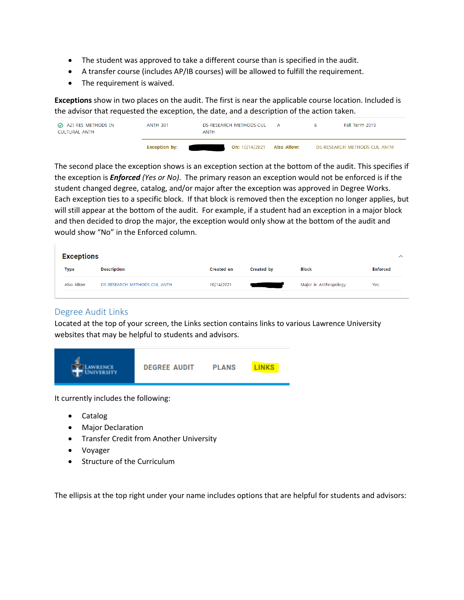- The student was approved to take a different course than is specified in the audit.
- A transfer course (includes AP/IB courses) will be allowed to fulfill the requirement.
- The requirement is waived.

**Exceptions** show in two places on the audit. The first is near the applicable course location. Included is the advisor that requested the exception, the date, and a description of the action taken.

| A2) RES METHODS IN<br>CULTURAL ANTH | <b>ANTH 391</b>      | DS-RESEARCH METHODS-CUL<br>A<br>ANTH |                                   |  | Fall Term 2019               |
|-------------------------------------|----------------------|--------------------------------------|-----------------------------------|--|------------------------------|
|                                     | <b>Exception by:</b> |                                      | <b>On: 10/14/2021 Also Allow:</b> |  | DS-RESEARCH METHODS-CUL ANTH |

The second place the exception shows is an exception section at the bottom of the audit. This specifies if the exception is *Enforced (Yes or No)*. The primary reason an exception would not be enforced is if the student changed degree, catalog, and/or major after the exception was approved in Degree Works. Each exception ties to a specific block. If that block is removed then the exception no longer applies, but will still appear at the bottom of the audit. For example, if a student had an exception in a major block and then decided to drop the major, the exception would only show at the bottom of the audit and would show "No" in the Enforced column.

| <b>Exceptions</b> |                              |                   |                   |                       |                 |  |
|-------------------|------------------------------|-------------------|-------------------|-----------------------|-----------------|--|
| <b>Type</b>       | <b>Description</b>           | <b>Created on</b> | <b>Created by</b> | <b>Block</b>          | <b>Enforced</b> |  |
| Also Allow        | DS-RESEARCH METHODS-CUL ANTH | 10/14/2021        |                   | Major in Anthropology | Yes             |  |

## <span id="page-8-0"></span>Degree Audit Links

Located at the top of your screen, the Links section contains links to various Lawrence University websites that may be helpful to students and advisors.



It currently includes the following:

- Catalog
- Major Declaration
- Transfer Credit from Another University
- Voyager
- Structure of the Curriculum

The ellipsis at the top right under your name includes options that are helpful for students and advisors: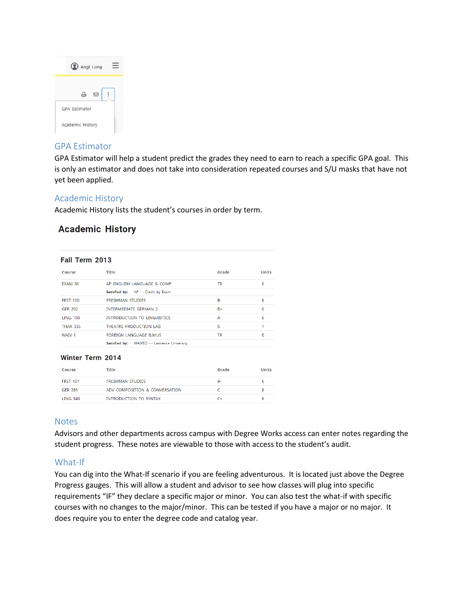|                  | (2) Angi Long |   |  |
|------------------|---------------|---|--|
|                  | д             | М |  |
| GPA Estimator    |               |   |  |
| Academic History |               |   |  |

## <span id="page-9-0"></span>GPA Estimator

GPA Estimator will help a student predict the grades they need to earn to reach a specific GPA goal. This is only an estimator and does not take into consideration repeated courses and S/U masks that have not yet been applied.

## <span id="page-9-1"></span>Academic History

Academic History lists the student's courses in order by term.

## **Academic History**

#### Fall Term 2013

| Course            | <b>Title</b>                                 | Grade     | <b>Units</b> |
|-------------------|----------------------------------------------|-----------|--------------|
| <b>FXAM 36</b>    | AP ENGLISH LANGUAGE & COMP                   | TR.       | 6            |
|                   | Satisfied by: AP - - Credit by Exam          |           |              |
| <b>FRST 100</b>   | <b>FRESHMAN STUDIES</b>                      | <b>B-</b> | 6            |
| <b>GER 202</b>    | <b>INTERMEDIATE GERMAN 2</b>                 | $B+$      | 6            |
| <b>ITNG 150</b>   | INTRODUCTION TO LINGUISTICS                  | $A-$      | 6            |
| <b>THAR 355</b>   | THEATRE PRODUCTION LAB                       | s         |              |
| WAIV <sub>1</sub> | <b>FOREIGN LANGUAGE B.MUS</b>                | TR        | 0            |
|                   | Satisfied by: WAIVED - - Lawrence University |           |              |

#### **Winter Term 2014**

| Course          | Title                          | Grade | Units |
|-----------------|--------------------------------|-------|-------|
| <b>FRST 101</b> | <b>FRESHMAN STUDIES</b>        | A٠    |       |
| GER 285         | ADV COMPOSITION & CONVERSATION |       |       |
| <b>LING 340</b> | <b>INTRODUCTION TO SYNTAX</b>  | C+    |       |

## <span id="page-9-2"></span>**Notes**

Advisors and other departments across campus with Degree Works access can enter notes regarding the student progress. These notes are viewable to those with access to the student's audit.

## <span id="page-9-3"></span>What-If

You can dig into the What-If scenario if you are feeling adventurous. It is located just above the Degree Progress gauges. This will allow a student and advisor to see how classes will plug into specific requirements "IF" they declare a specific major or minor. You can also test the what-if with specific courses with no changes to the major/minor. This can be tested if you have a major or no major. It does require you to enter the degree code and catalog year.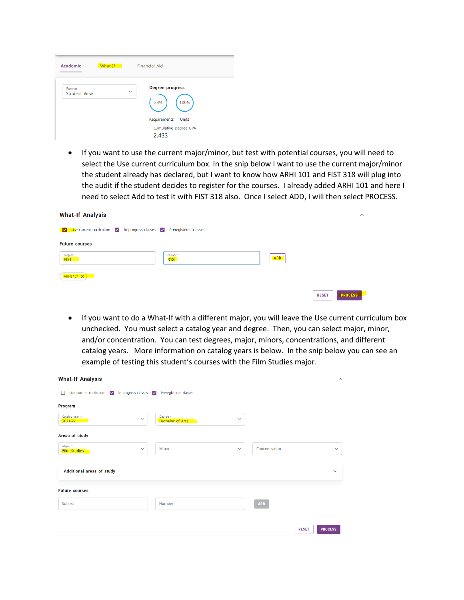| What-If<br><b>Academic</b>    | <b>Financial Aid</b>                                                                                             |
|-------------------------------|------------------------------------------------------------------------------------------------------------------|
| Format<br><b>Student View</b> | <b>Degree progress</b><br>$\checkmark$<br>83%<br>100%<br>Requirements<br>Units<br>Cumulative Degree GPA<br>2.433 |

• If you want to use the current major/minor, but test with potential courses, you will need to select the Use current curriculum box. In the snip below I want to use the current major/minor the student already has declared, but I want to know how ARHI 101 and FIST 318 will plug into the audit if the student decides to register for the courses. I already added ARHI 101 and here I need to select Add to test it with FIST 318 also. Once I select ADD, I will then select PROCESS.

| <b>What-If Analysis</b>                                                              | $\wedge$                       |
|--------------------------------------------------------------------------------------|--------------------------------|
| Use current curriculum $\sqrt{}$<br>In-progress classes V Preregistered classes<br>◘ |                                |
| <b>Future courses</b>                                                                |                                |
| Subject<br>FIST<br>Number<br><b>ADD</b><br>318                                       |                                |
| $ARHI 101 \times$                                                                    |                                |
|                                                                                      | <b>PROCESS</b><br><b>RESET</b> |

• If you want to do a What-If with a different major, you will leave the Use current curriculum box unchecked. You must select a catalog year and degree. Then, you can select major, minor, and/or concentration. You can test degrees, major, minors, concentrations, and different catalog years. More information on catalog years is below. In the snip below you can see an example of testing this student's courses with the Film Studies major.

| <b>What-If Analysis</b>                                      |                                                       |               |              | $\wedge$       |
|--------------------------------------------------------------|-------------------------------------------------------|---------------|--------------|----------------|
| Use current curriculum $\sqrt{}$<br>In-progress classes<br>П | Preregistered classes                                 |               |              |                |
| Program                                                      |                                                       |               |              |                |
| Catalog year *<br>$\checkmark$<br>$2021 - 22$                | Degree $*$<br>$\checkmark$<br><b>Bachelor of Arts</b> |               |              |                |
| Areas of study                                               |                                                       |               |              |                |
| Major *<br>$\checkmark$<br><b>Film Studies</b>               | Minor<br>$\checkmark$                                 | Concentration |              | $\checkmark$   |
| Additional areas of study                                    |                                                       |               |              | $\checkmark$   |
| <b>Future courses</b>                                        |                                                       |               |              |                |
| Subject                                                      | Number                                                | ADD           |              |                |
|                                                              |                                                       |               |              |                |
|                                                              |                                                       |               | <b>RESET</b> | <b>PROCESS</b> |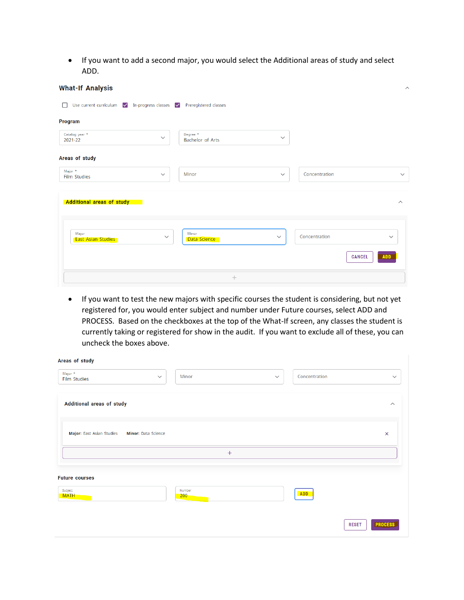• If you want to add a second major, you would select the Additional areas of study and select ADD.

| <b>What-If Analysis</b>                                                   |              |                              |              |               |                             | $\overline{\phantom{a}}$ |
|---------------------------------------------------------------------------|--------------|------------------------------|--------------|---------------|-----------------------------|--------------------------|
| Use current curriculum v In-progress classes v Preregistered classes<br>П |              |                              |              |               |                             |                          |
| Program                                                                   |              |                              |              |               |                             |                          |
| Catalog year *<br>2021-22                                                 | $\checkmark$ | Degree *<br>Bachelor of Arts | $\checkmark$ |               |                             |                          |
| Areas of study                                                            |              |                              |              |               |                             |                          |
| Major *<br>Film Studies                                                   | $\checkmark$ | Minor                        | $\checkmark$ | Concentration |                             | $\checkmark$             |
|                                                                           |              |                              |              |               |                             |                          |
| <b>Additional areas of study</b>                                          |              |                              |              |               |                             | $\wedge$                 |
| Major<br><b>East Asian Studies</b>                                        | $\checkmark$ | Minor<br>Data Science        | $\checkmark$ | Concentration | $\checkmark$                |                          |
|                                                                           |              |                              |              |               | <b>ADD</b><br><b>CANCEL</b> |                          |
|                                                                           |              | $\! + \!\!\!\!$              |              |               |                             |                          |

• If you want to test the new majors with specific courses the student is considering, but not yet registered for, you would enter subject and number under Future courses, select ADD and PROCESS. Based on the checkboxes at the top of the What-If screen, any classes the student is currently taking or registered for show in the audit. If you want to exclude all of these, you can uncheck the boxes above.

| Areas of study                                  |              |                   |              |               |                                |
|-------------------------------------------------|--------------|-------------------|--------------|---------------|--------------------------------|
| Major *<br>Film Studies                         | $\checkmark$ | Minor             | $\checkmark$ | Concentration | $\checkmark$                   |
| Additional areas of study                       |              |                   |              |               | $\wedge$                       |
| Major: East Asian Studies Minor: Data Science   |              |                   |              |               | $\times$                       |
|                                                 |              | $+$               |              |               |                                |
| <b>Future courses</b><br>Subject<br><b>MATH</b> |              | Number<br>$200 -$ |              | ADD           |                                |
|                                                 |              |                   |              |               | <b>PROCESS</b><br><b>RESET</b> |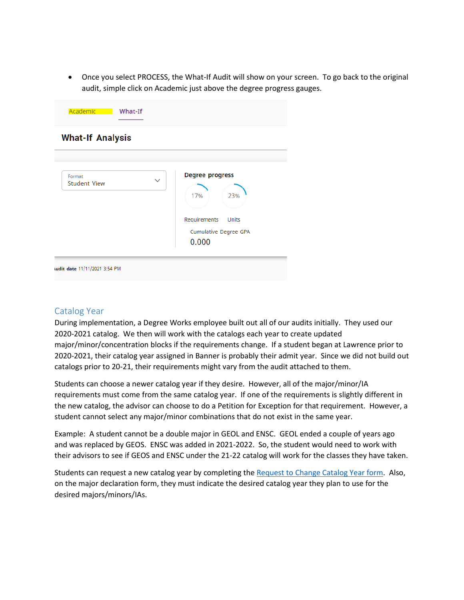• Once you select PROCESS, the What-If Audit will show on your screen. To go back to the original audit, simple click on Academic just above the degree progress gauges.

| <b>What-If Analysis</b>                       |                                                                                                 |
|-----------------------------------------------|-------------------------------------------------------------------------------------------------|
| Format<br>$\checkmark$<br><b>Student View</b> | <b>Degree progress</b><br>17%<br>23%<br>Requirements<br>Units<br>Cumulative Degree GPA<br>0.000 |

## <span id="page-12-0"></span>Catalog Year

During implementation, a Degree Works employee built out all of our audits initially. They used our 2020-2021 catalog. We then will work with the catalogs each year to create updated major/minor/concentration blocks if the requirements change. If a student began at Lawrence prior to 2020-2021, their catalog year assigned in Banner is probably their admit year. Since we did not build out catalogs prior to 20-21, their requirements might vary from the audit attached to them.

Students can choose a newer catalog year if they desire. However, all of the major/minor/IA requirements must come from the same catalog year. If one of the requirements is slightly different in the new catalog, the advisor can choose to do a Petition for Exception for that requirement. However, a student cannot select any major/minor combinations that do not exist in the same year.

Example: A student cannot be a double major in GEOL and ENSC. GEOL ended a couple of years ago and was replaced by GEOS. ENSC was added in 2021-2022. So, the student would need to work with their advisors to see if GEOS and ENSC under the 21-22 catalog will work for the classes they have taken.

Students can request a new catalog year by completing th[e Request to Change Catalog Year form.](https://www.lawrence.edu/mw/REQUEST_TO_CHANGE_CATALOG_YEAR.pdf) Also, on the major declaration form, they must indicate the desired catalog year they plan to use for the desired majors/minors/IAs.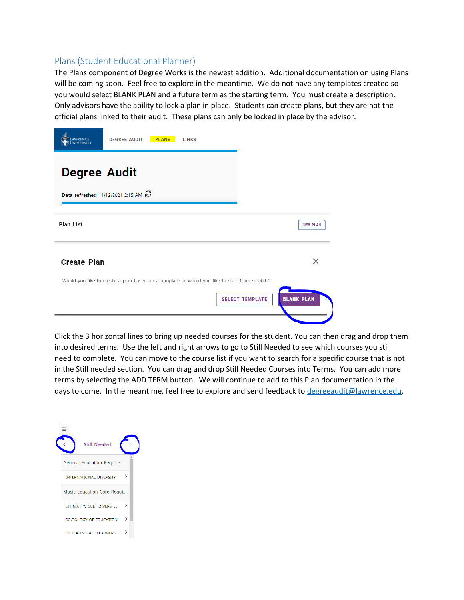## <span id="page-13-0"></span>Plans (Student Educational Planner)

The Plans component of Degree Works is the newest addition. Additional documentation on using Plans will be coming soon. Feel free to explore in the meantime. We do not have any templates created so you would select BLANK PLAN and a future term as the starting term. You must create a description. Only advisors have the ability to lock a plan in place. Students can create plans, but they are not the official plans linked to their audit. These plans can only be locked in place by the advisor.

|                     | <b>DEGREE AUDIT</b><br><b>PLANS</b><br><b>LINKS</b>                                          |                   |
|---------------------|----------------------------------------------------------------------------------------------|-------------------|
| <b>Degree Audit</b> | Data refreshed 11/12/2021 2:15 AM $\mathcal C$                                               |                   |
| <b>Plan List</b>    |                                                                                              | <b>NEW PLAN</b>   |
| <b>Create Plan</b>  |                                                                                              | $\times$          |
|                     | Would you like to create a plan based on a template or would you like to start from scratch? |                   |
|                     | <b>SELECT TEMPLATE</b>                                                                       | <b>BLANK PLAN</b> |
|                     |                                                                                              |                   |

Click the 3 horizontal lines to bring up needed courses for the student. You can then drag and drop them into desired terms. Use the left and right arrows to go to Still Needed to see which courses you still need to complete. You can move to the course list if you want to search for a specific course that is not in the Still needed section. You can drag and drop Still Needed Courses into Terms. You can add more terms by selecting the ADD TERM button. We will continue to add to this Plan documentation in the days to come. In the meantime, feel free to explore and send feedback to [degreeaudit@lawrence.edu.](mailto:degreeaudit@lawrence.edu)

| <b>Still Needed</b>            |   |  |
|--------------------------------|---|--|
| General Education Require      |   |  |
| <b>INTERNATIONAL DIVERSITY</b> | ゝ |  |
| Music Education Core Requi     |   |  |
| ETHNICITY, CULT DIVERS,        | ゝ |  |
| SOCIOLOGY OF EDUCATION         | ゝ |  |
| <b>EDUCATING ALL LEARNERS</b>  |   |  |